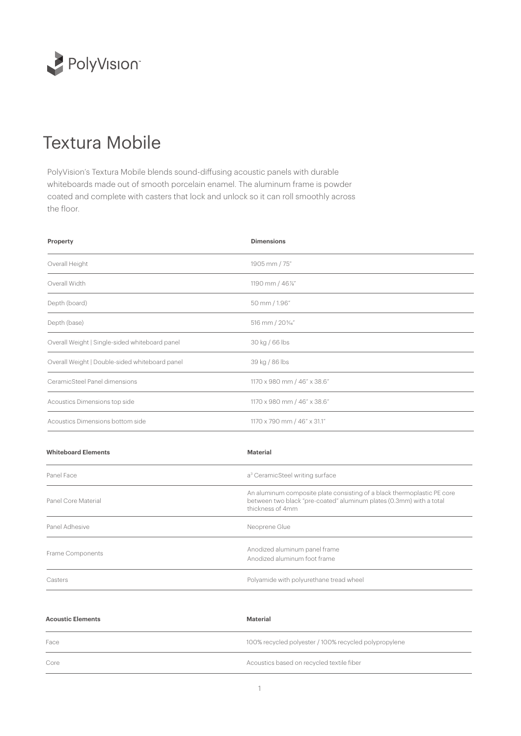

## Textura Mobile

PolyVision's Textura Mobile blends sound-diffusing acoustic panels with durable whiteboards made out of smooth porcelain enamel. The aluminum frame is powder coated and complete with casters that lock and unlock so it can roll smoothly across the floor.

| Property                                       | <b>Dimensions</b>                                                                                                                                                  |  |
|------------------------------------------------|--------------------------------------------------------------------------------------------------------------------------------------------------------------------|--|
| Overall Height                                 | 1905 mm / 75"                                                                                                                                                      |  |
| Overall Width                                  | 1190 mm / 46%"                                                                                                                                                     |  |
| Depth (board)                                  | 50 mm / 1.96"                                                                                                                                                      |  |
| Depth (base)                                   | 516 mm / 20%"                                                                                                                                                      |  |
| Overall Weight   Single-sided whiteboard panel | 30 kg / 66 lbs                                                                                                                                                     |  |
| Overall Weight   Double-sided whiteboard panel | 39 kg / 86 lbs                                                                                                                                                     |  |
| CeramicSteel Panel dimensions                  | 1170 x 980 mm / 46" x 38.6"                                                                                                                                        |  |
| Acoustics Dimensions top side                  | 1170 x 980 mm / 46" x 38.6"                                                                                                                                        |  |
| Acoustics Dimensions bottom side               | 1170 x 790 mm / 46" x 31.1"                                                                                                                                        |  |
| <b>Whiteboard Elements</b>                     | <b>Material</b>                                                                                                                                                    |  |
| Panel Face                                     | a <sup>3</sup> CeramicSteel writing surface                                                                                                                        |  |
| Panel Core Material                            | An aluminum composite plate consisting of a black thermoplastic PE core<br>between two black "pre-coated" aluminum plates (0.3mm) with a total<br>thickness of 4mm |  |
| Panel Adhesive                                 | Neoprene Glue                                                                                                                                                      |  |
| Frame Components                               | Anodized aluminum panel frame<br>Anodized aluminum foot frame                                                                                                      |  |
| Casters                                        | Polyamide with polyurethane tread wheel                                                                                                                            |  |

| <b>Acoustic Elements</b> | Material                                              |
|--------------------------|-------------------------------------------------------|
| Face                     | 100% recycled polyester / 100% recycled polypropylene |
| Core                     | Acoustics based on recycled textile fiber             |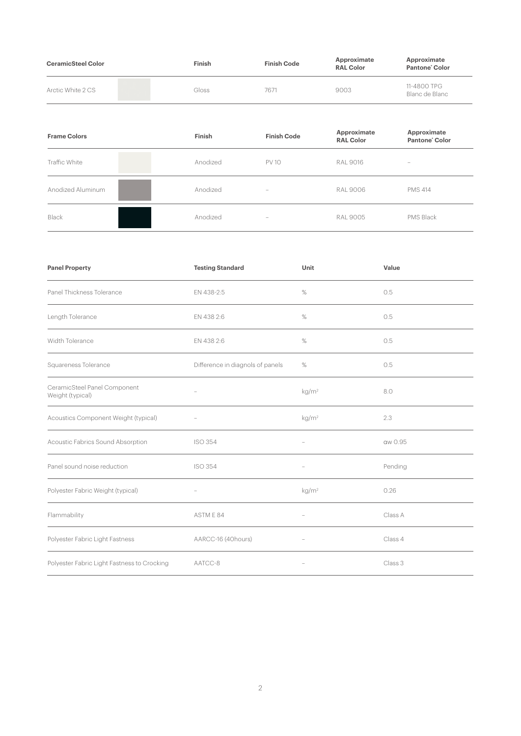| <b>CeramicSteel Color</b> | Finish | <b>Finish Code</b> | Approximate<br><b>RAL Color</b> | Approximate<br>Pantone Color  |
|---------------------------|--------|--------------------|---------------------------------|-------------------------------|
| Arctic White 2 CS         | Gloss  | 7671               | 9003                            | 11-4800 TPG<br>Blanc de Blanc |

| <b>Frame Colors</b> | Finish   | <b>Finish Code</b>       | Approximate<br><b>RAL Color</b> | Approximate<br>Pantone <sup>'</sup> Color                                 |
|---------------------|----------|--------------------------|---------------------------------|---------------------------------------------------------------------------|
| Traffic White       | Anodized | <b>PV 10</b>             | <b>RAL 9016</b>                 | $\hspace{1.0cm} \rule{1.5cm}{0.15cm} \hspace{1.0cm} \rule{1.5cm}{0.15cm}$ |
| Anodized Aluminum   | Anodized | $\overline{\phantom{a}}$ | <b>RAL 9006</b>                 | <b>PMS 414</b>                                                            |
| Black               | Anodized | $\overline{\phantom{a}}$ | <b>RAL 9005</b>                 | PMS Black                                                                 |

| <b>Panel Property</b>                            | <b>Testing Standard</b>          | Unit                     | Value   |
|--------------------------------------------------|----------------------------------|--------------------------|---------|
| Panel Thickness Tolerance                        | EN 438-2:5                       | %                        | 0.5     |
| Length Tolerance                                 | EN 438 2:6                       | $\%$                     | 0.5     |
| Width Tolerance                                  | EN 438 2:6                       | %                        | 0.5     |
| Squareness Tolerance                             | Difference in diagnols of panels | $\%$                     | 0.5     |
| CeramicSteel Panel Component<br>Weight (typical) |                                  | kg/m <sup>2</sup>        | 8.0     |
| Acoustics Component Weight (typical)             |                                  | kg/m <sup>2</sup>        | 2.3     |
| Acoustic Fabrics Sound Absorption                | <b>ISO 354</b>                   |                          | aw 0.95 |
| Panel sound noise reduction                      | <b>ISO 354</b>                   |                          | Pending |
| Polyester Fabric Weight (typical)                |                                  | kg/m <sup>2</sup>        | 0.26    |
| Flammability                                     | ASTM E 84                        |                          | Class A |
| Polyester Fabric Light Fastness                  | AARCC-16 (40hours)               | $\overline{\phantom{a}}$ | Class 4 |
| Polyester Fabric Light Fastness to Crocking      | AATCC-8                          |                          | Class 3 |